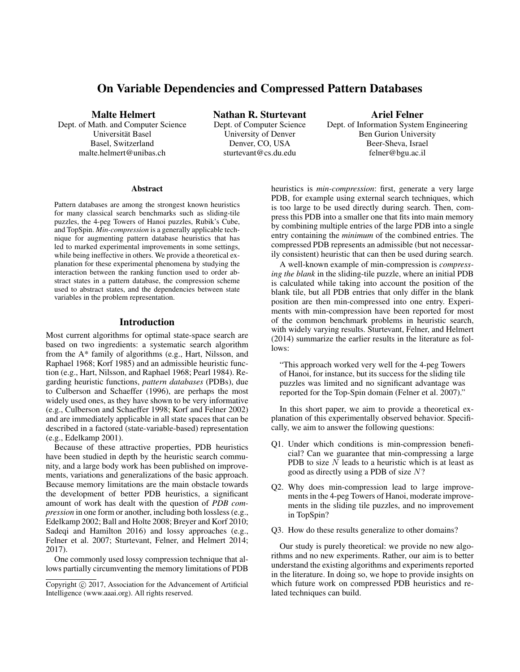# On Variable Dependencies and Compressed Pattern Databases

Malte Helmert

Dept. of Math. and Computer Science Universität Basel Basel, Switzerland malte.helmert@unibas.ch

Nathan R. Sturtevant Dept. of Computer Science University of Denver Denver, CO, USA sturtevant@cs.du.edu

Ariel Felner

Dept. of Information System Engineering Ben Gurion University Beer-Sheva, Israel felner@bgu.ac.il

#### Abstract

Pattern databases are among the strongest known heuristics for many classical search benchmarks such as sliding-tile puzzles, the 4-peg Towers of Hanoi puzzles, Rubik's Cube, and TopSpin. *Min-compression* is a generally applicable technique for augmenting pattern database heuristics that has led to marked experimental improvements in some settings, while being ineffective in others. We provide a theoretical explanation for these experimental phenomena by studying the interaction between the ranking function used to order abstract states in a pattern database, the compression scheme used to abstract states, and the dependencies between state variables in the problem representation.

### Introduction

Most current algorithms for optimal state-space search are based on two ingredients: a systematic search algorithm from the A\* family of algorithms (e.g., Hart, Nilsson, and Raphael 1968; Korf 1985) and an admissible heuristic function (e.g., Hart, Nilsson, and Raphael 1968; Pearl 1984). Regarding heuristic functions, *pattern databases* (PDBs), due to Culberson and Schaeffer (1996), are perhaps the most widely used ones, as they have shown to be very informative (e.g., Culberson and Schaeffer 1998; Korf and Felner 2002) and are immediately applicable in all state spaces that can be described in a factored (state-variable-based) representation (e.g., Edelkamp 2001).

Because of these attractive properties, PDB heuristics have been studied in depth by the heuristic search community, and a large body work has been published on improvements, variations and generalizations of the basic approach. Because memory limitations are the main obstacle towards the development of better PDB heuristics, a significant amount of work has dealt with the question of *PDB compression* in one form or another, including both lossless (e.g., Edelkamp 2002; Ball and Holte 2008; Breyer and Korf 2010; Sadeqi and Hamilton 2016) and lossy approaches (e.g., Felner et al. 2007; Sturtevant, Felner, and Helmert 2014; 2017).

One commonly used lossy compression technique that allows partially circumventing the memory limitations of PDB heuristics is *min-compression*: first, generate a very large PDB, for example using external search techniques, which is too large to be used directly during search. Then, compress this PDB into a smaller one that fits into main memory by combining multiple entries of the large PDB into a single entry containing the *minimum* of the combined entries. The compressed PDB represents an admissible (but not necessarily consistent) heuristic that can then be used during search.

A well-known example of min-compression is *compressing the blank* in the sliding-tile puzzle, where an initial PDB is calculated while taking into account the position of the blank tile, but all PDB entries that only differ in the blank position are then min-compressed into one entry. Experiments with min-compression have been reported for most of the common benchmark problems in heuristic search, with widely varying results. Sturtevant, Felner, and Helmert (2014) summarize the earlier results in the literature as follows:

"This approach worked very well for the 4-peg Towers of Hanoi, for instance, but its success for the sliding tile puzzles was limited and no significant advantage was reported for the Top-Spin domain (Felner et al. 2007)."

In this short paper, we aim to provide a theoretical explanation of this experimentally observed behavior. Specifically, we aim to answer the following questions:

- Q1. Under which conditions is min-compression beneficial? Can we guarantee that min-compressing a large PDB to size  $N$  leads to a heuristic which is at least as good as directly using a PDB of size N?
- Q2. Why does min-compression lead to large improvements in the 4-peg Towers of Hanoi, moderate improvements in the sliding tile puzzles, and no improvement in TopSpin?
- Q3. How do these results generalize to other domains?

Our study is purely theoretical: we provide no new algorithms and no new experiments. Rather, our aim is to better understand the existing algorithms and experiments reported in the literature. In doing so, we hope to provide insights on which future work on compressed PDB heuristics and related techniques can build.

Copyright (c) 2017, Association for the Advancement of Artificial Intelligence (www.aaai.org). All rights reserved.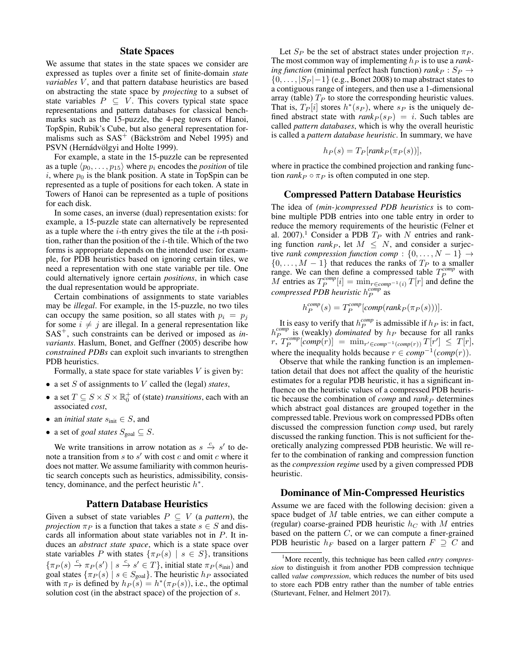### State Spaces

We assume that states in the state spaces we consider are expressed as tuples over a finite set of finite-domain *state variables* V, and that pattern database heuristics are based on abstracting the state space by *projecting* to a subset of state variables  $P \subseteq V$ . This covers typical state space representations and pattern databases for classical benchmarks such as the 15-puzzle, the 4-peg towers of Hanoi, TopSpin, Rubik's Cube, but also general representation formalisms such as  $SAS<sup>+</sup>$  (Bäckström and Nebel 1995) and PSVN (Hernádvölgyi and Holte 1999).

For example, a state in the 15-puzzle can be represented as a tuple  $\langle p_0, \ldots, p_{15} \rangle$  where  $p_i$  encodes the *position* of tile i, where  $p_0$  is the blank position. A state in TopSpin can be represented as a tuple of positions for each token. A state in Towers of Hanoi can be represented as a tuple of positions for each disk.

In some cases, an inverse (dual) representation exists: for example, a 15-puzzle state can alternatively be represented as a tuple where the  $i$ -th entry gives the tile at the  $i$ -th position, rather than the position of the  $i$ -th tile. Which of the two forms is appropriate depends on the intended use: for example, for PDB heuristics based on ignoring certain tiles, we need a representation with one state variable per tile. One could alternatively ignore certain *positions*, in which case the dual representation would be appropriate.

Certain combinations of assignments to state variables may be *illegal*. For example, in the 15-puzzle, no two tiles can occupy the same position, so all states with  $p_i = p_j$ for some  $i \neq j$  are illegal. In a general representation like SAS<sup>+</sup>, such constraints can be derived or imposed as *invariants*. Haslum, Bonet, and Geffner (2005) describe how *constrained PDBs* can exploit such invariants to strengthen PDB heuristics.

Formally, a state space for state variables  $V$  is given by:

- a set S of assignments to V called the (legal) *states*,
- a set  $T \subseteq S \times S \times \mathbb{R}_0^+$  of (state) *transitions*, each with an associated *cost*,
- an *initial state*  $s_{\text{init}} \in S$ , and
- a set of *goal states*  $S_{\text{goal}} \subseteq S$ .

We write transitions in arrow notation as  $s \stackrel{c}{\rightarrow} s'$  to denote a transition from  $s$  to  $s'$  with cost  $c$  and omit  $c$  where it does not matter. We assume familiarity with common heuristic search concepts such as heuristics, admissibility, consistency, dominance, and the perfect heuristic  $h^*$ .

### Pattern Database Heuristics

Given a subset of state variables  $P \subseteq V$  (a *pattern*), the *projection*  $\pi_P$  is a function that takes a state  $s \in S$  and discards all information about state variables not in P. It induces an *abstract state space*, which is a state space over state variables P with states  $\{\pi_P(s) \mid s \in S\}$ , transitions  $\{\pi_P(s) \stackrel{c}{\rightarrow} \pi_P(s') \mid s \stackrel{c}{\rightarrow} s' \in T\}$ , initial state  $\pi_P(s_{\text{init}})$  and goal states  $\{\pi_P(s) \mid s \in S_{\text{goal}}\}$ . The heuristic  $h_P$  associated with  $\pi_P$  is defined by  $h_P(s) = h^*(\pi_P(s))$ , i.e., the optimal solution cost (in the abstract space) of the projection of s.

Let  $S_P$  be the set of abstract states under projection  $\pi_P$ . The most common way of implementing  $h<sub>P</sub>$  is to use a *ranking function* (minimal perfect hash function)  $rank_P : S_P \rightarrow$  $\{0, \ldots, |S_P| - 1\}$  (e.g., Bonet 2008) to map abstract states to a contiguous range of integers, and then use a 1-dimensional array (table)  $T_P$  to store the corresponding heuristic values. That is,  $T_P[i]$  stores  $h^*(s_P)$ , where  $s_P$  is the uniquely defined abstract state with  $rank_P(s_P) = i$ . Such tables are called *pattern databases*, which is why the overall heuristic is called a *pattern database heuristic*. In summary, we have

$$
h_P(s) = T_P[rank_P(\pi_P(s))],
$$

where in practice the combined projection and ranking function  $rank_P \circ \pi_P$  is often computed in one step.

### Compressed Pattern Database Heuristics

The idea of *(min-)compressed PDB heuristics* is to combine multiple PDB entries into one table entry in order to reduce the memory requirements of the heuristic (Felner et al. 2007).<sup>1</sup> Consider a PDB  $T_P$  with N entries and ranking function  $rank_P$ , let  $M \leq N$ , and consider a surjective *rank compression function comp* :  $\{0, \ldots, N-1\} \rightarrow$  $\{0, \ldots, M-1\}$  that reduces the ranks of  $T_P$  to a smaller range. We can then define a compressed table  $T_P^{comp}$  with M entries as  $T_P^{comp}[i] = \min_{r \in comp^{-1}(i)} T[r]$  and define the *compressed PDB heuristic*  $h_P^{comp}$  as

$$
h_P^{comp}(s) = T_P^{comp}[comp(rank_P(\pi_P(s)))].
$$

It is easy to verify that  $h_P^{comp}$  is admissible if  $h_P$  is: in fact,  $h_{P}^{comp}$  is (weakly) *dominated* by  $h_{P}$  because for all ranks  $r, T_P^{comp} [comp(r)] = \min_{r' \in comp^{-1}(comp(r))} T[r'] \le T[r],$ where the inequality holds because  $r \in comp^{-1}(comp(r))$ .

Observe that while the ranking function is an implementation detail that does not affect the quality of the heuristic estimates for a regular PDB heuristic, it has a significant influence on the heuristic values of a compressed PDB heuristic because the combination of *comp* and  $rank_P$  determines which abstract goal distances are grouped together in the compressed table. Previous work on compressed PDBs often discussed the compression function *comp* used, but rarely discussed the ranking function. This is not sufficient for theoretically analyzing compressed PDB heuristic. We will refer to the combination of ranking and compression function as the *compression regime* used by a given compressed PDB heuristic.

#### Dominance of Min-Compressed Heuristics

Assume we are faced with the following decision: given a space budget of M table entries, we can either compute a (regular) coarse-grained PDB heuristic  $h<sub>C</sub>$  with M entries based on the pattern C, or we can compute a finer-grained PDB heuristic  $h_F$  based on a larger pattern  $F \supseteq C$  and

<sup>1</sup>More recently, this technique has been called *entry compression* to distinguish it from another PDB compression technique called *value compression*, which reduces the number of bits used to store each PDB entry rather than the number of table entries (Sturtevant, Felner, and Helmert 2017).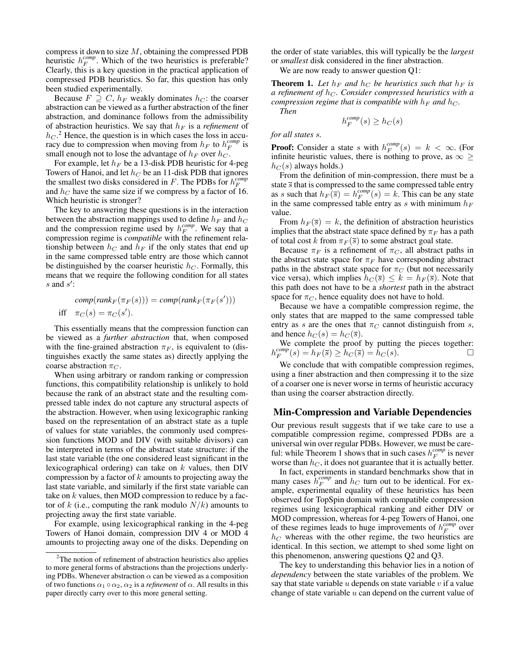compress it down to size  $M$ , obtaining the compressed PDB heuristic  $h_F^{comp}$ . Which of the two heuristics is preferable? Clearly, this is a key question in the practical application of compressed PDB heuristics. So far, this question has only been studied experimentally.

Because  $F \supseteq C$ ,  $h_F$  weakly dominates  $h_C$ : the coarser abstraction can be viewed as a further abstraction of the finer abstraction, and dominance follows from the admissibility of abstraction heuristics. We say that  $h_F$  is a *refinement* of  $h_C$ .<sup>2</sup> Hence, the question is in which cases the loss in accuracy due to compression when moving from  $h_F$  to  $h_F^{comp}$  is small enough not to lose the advantage of  $h_F$  over  $h_C$ .

For example, let  $h_F$  be a 13-disk PDB heuristic for 4-peg Towers of Hanoi, and let  $h_C$  be an 11-disk PDB that ignores the smallest two disks considered in  $F$ . The PDBs for  $h_F^{comp}$ and  $h_C$  have the same size if we compress by a factor of 16. Which heuristic is stronger?

The key to answering these questions is in the interaction between the abstraction mappings used to define  $h_F$  and  $h_C$ and the compression regime used by  $h_F^{comp}$ . We say that a compression regime is *compatible* with the refinement relationship between  $h_C$  and  $h_F$  if the only states that end up in the same compressed table entry are those which cannot be distinguished by the coarser heuristic  $h<sub>C</sub>$ . Formally, this means that we require the following condition for all states  $s$  and  $s'$ :

$$
comp(rankF(\piF(s))) = comp(rankF(\piF(s')))
$$
  
iff  $\piC(s) = \piC(s').$ 

This essentially means that the compression function can be viewed as a *further abstraction* that, when composed with the fine-grained abstraction  $\pi_F$ , is equivalent to (distinguishes exactly the same states as) directly applying the coarse abstraction  $\pi_C$ .

When using arbitrary or random ranking or compression functions, this compatibility relationship is unlikely to hold because the rank of an abstract state and the resulting compressed table index do not capture any structural aspects of the abstraction. However, when using lexicographic ranking based on the representation of an abstract state as a tuple of values for state variables, the commonly used compression functions MOD and DIV (with suitable divisors) can be interpreted in terms of the abstract state structure: if the last state variable (the one considered least significant in the lexicographical ordering) can take on  $k$  values, then DIV compression by a factor of  $k$  amounts to projecting away the last state variable, and similarly if the first state variable can take on  $k$  values, then MOD compression to reduce by a factor of k (i.e., computing the rank modulo  $N/k$ ) amounts to projecting away the first state variable.

For example, using lexicographical ranking in the 4-peg Towers of Hanoi domain, compression DIV 4 or MOD 4 amounts to projecting away one of the disks. Depending on the order of state variables, this will typically be the *largest* or *smallest* disk considered in the finer abstraction.

We are now ready to answer question Q1:

**Theorem 1.** Let  $h_F$  and  $h_C$  be heuristics such that  $h_F$  is *a refinement of h<sub>C</sub>. Consider compressed heuristics with a compression regime that is compatible with*  $h_F$  *and*  $h_C$ *. Then*

$$
h_F^{comp}(s) \ge h_C(s)
$$

### *for all states* s*.*

**Proof:** Consider a state s with  $h_F^{comp}(s) = k < \infty$ . (For infinite heuristic values, there is nothing to prove, as  $\infty \geq$  $h_C(s)$  always holds.)

From the definition of min-compression, there must be a state  $\overline{s}$  that is compressed to the same compressed table entry as s such that  $h_F(\overline{s}) = h_F^{comp}(s) = k$ . This can be any state in the same compressed table entry as s with minimum  $h_F$ value.

From  $h_F(\overline{s}) = k$ , the definition of abstraction heuristics implies that the abstract state space defined by  $\pi_F$  has a path of total cost k from  $\pi_F(\overline{s})$  to some abstract goal state.

Because  $\pi_F$  is a refinement of  $\pi_C$ , all abstract paths in the abstract state space for  $\pi_F$  have corresponding abstract paths in the abstract state space for  $\pi$ <sup>C</sup> (but not necessarily vice versa), which implies  $h_C(\overline{s}) \leq k = h_F(\overline{s})$ . Note that this path does not have to be a *shortest* path in the abstract space for  $\pi_C$ , hence equality does not have to hold.

Because we have a compatible compression regime, the only states that are mapped to the same compressed table entry as s are the ones that  $\pi_C$  cannot distinguish from s, and hence  $h_C(s) = h_C(\overline{s})$ .

We complete the proof by putting the pieces together:  $h_F^{comp}(s) = h_F(\bar{s}) \ge h_C(\bar{s}) = h_C(s).$ 

We conclude that with compatible compression regimes, using a finer abstraction and then compressing it to the size of a coarser one is never worse in terms of heuristic accuracy than using the coarser abstraction directly.

## Min-Compression and Variable Dependencies

Our previous result suggests that if we take care to use a compatible compression regime, compressed PDBs are a universal win over regular PDBs. However, we must be careful: while Theorem 1 shows that in such cases  $h_F^{comp}$  is never worse than  $h_C$ , it does not guarantee that it is actually better.

In fact, experiments in standard benchmarks show that in many cases  $\hat{h}_F^{comp}$  and  $h_C$  turn out to be identical. For example, experimental equality of these heuristics has been observed for TopSpin domain with compatible compression regimes using lexicographical ranking and either DIV or MOD compression, whereas for 4-peg Towers of Hanoi, one of these regimes leads to huge improvements of  $h_F^{comp}$  over  $h<sub>C</sub>$  whereas with the other regime, the two heuristics are identical. In this section, we attempt to shed some light on this phenomenon, answering questions Q2 and Q3.

The key to understanding this behavior lies in a notion of *dependency* between the state variables of the problem. We say that state variable  $u$  depends on state variable  $v$  if a value change of state variable  $u$  can depend on the current value of

<sup>2</sup>The notion of refinement of abstraction heuristics also applies to more general forms of abstractions than the projections underlying PDBs. Whenever abstraction  $\alpha$  can be viewed as a composition of two functions  $\alpha_1 \circ \alpha_2$ ,  $\alpha_2$  is a *refinement* of  $\alpha$ . All results in this paper directly carry over to this more general setting.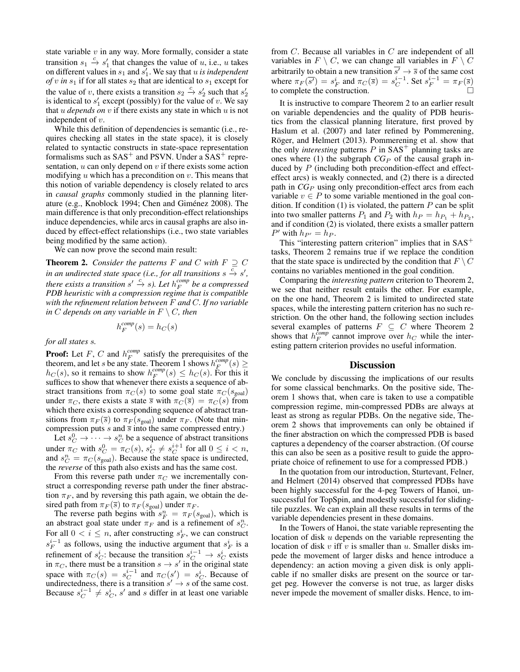state variable  $v$  in any way. More formally, consider a state transition  $s_1 \stackrel{c}{\rightarrow} s'_1$  that changes the value of u, i.e., u takes transition  $s_1 \rightarrow s_1$  that changes the value of u, i.e., u takes<br>on different values in  $s_1$  and  $s'_1$ . We say that u is independent *of* v in  $s_1$  if for all states  $s_2$  that are identical to  $s_1$  except for the value of v, there exists a transition  $s_2 \stackrel{c}{\rightarrow} s'_2$  such that  $s'_2$ is identical to  $s'_1$  except (possibly) for the value of v. We say that  $u$  *depends on*  $v$  if there exists any state in which  $u$  is not independent of v.

While this definition of dependencies is semantic (i.e., requires checking all states in the state space), it is closely related to syntactic constructs in state-space representation formalisms such as  $SAS^+$  and PSVN. Under a  $SAS^+$  representation,  $u$  can only depend on  $v$  if there exists some action modifying  $u$  which has a precondition on  $v$ . This means that this notion of variable dependency is closely related to arcs in *causal graphs* commonly studied in the planning literature (e.g., Knoblock 1994; Chen and Giménez 2008). The main difference is that only precondition-effect relationships induce dependencies, while arcs in causal graphs are also induced by effect-effect relationships (i.e., two state variables being modified by the same action).

We can now prove the second main result:

**Theorem 2.** *Consider the patterns*  $F$  *and*  $C$  *with*  $F \supseteq C$ *in an undirected state space (i.e., for all transitions s*  $\frac{c}{\rightarrow} s'$ *, there exists a transition*  $s' \stackrel{c}{\rightarrow} s$ *). Let*  $h_F^{comp}$  *be a compressed PDB heuristic with a compression regime that is compatible with the refinement relation between* F *and* C*. If no variable in*  $C$  *depends on any variable in*  $F \setminus C$ *, then* 

$$
h_F^{\it comp}(s) = h_C(s)
$$

*for all states* s*.*

**Proof:** Let  $F$ ,  $C$  and  $h_F^{comp}$  satisfy the prerequisites of the theorem, and let s be any state. Theorem 1 shows  $h_F^{comp}(s) \geq$  $h_C(s)$ , so it remains to show  $h_F^{comp}(s) \leq h_C(s)$ . For this it suffices to show that whenever there exists a sequence of abstract transitions from  $\pi_C(s)$  to some goal state  $\pi_C(s_{\text{goal}})$ under  $\pi_C$ , there exists a state  $\overline{s}$  with  $\pi_C(\overline{s}) = \pi_C(s)$  from which there exists a corresponding sequence of abstract transitions from  $\pi_F(\overline{s})$  to  $\pi_F(s_{\text{goal}})$  under  $\pi_F$ . (Note that mincompression puts s and  $\overline{s}$  into the same compressed entry.)

Let  $s_C^0 \rightarrow \cdots \rightarrow s_C^n$  be a sequence of abstract transitions under  $\pi_C$  with  $s_C^0 = \pi_C(s)$ ,  $s_C^i \neq s_C^{i+1}$  for all  $0 \leq i < n$ , and  $s_C^n = \pi_C(s_{\text{goal}})$ . Because the state space is undirected, the *reverse* of this path also exists and has the same cost.

From this reverse path under  $\pi$ <sup>C</sup> we incrementally construct a corresponding reverse path under the finer abstraction  $\pi_F$ , and by reversing this path again, we obtain the desired path from  $\pi_F(\overline{s})$  to  $\pi_F(s_{\text{goal}})$  under  $\pi_F$ .

The reverse path begins with  $s_F^n = \pi_F(s_{\text{goal}})$ , which is an abstract goal state under  $\pi_F$  and is a refinement of  $s_C^n$ . For all  $0 < i \leq n$ , after constructing  $s_F^i$ , we can construct  $s_F^{i-1}$  as follows, using the inductive argument that  $s_F^i$  is a refinement of  $s_C^i$ : because the transition  $s_C^{i-1} \rightarrow s_C^i$  exists in  $\pi_C$ , there must be a transition  $s \to s'$  in the original state space with  $\pi_C(s) = s_C^{i-1}$  and  $\pi_C(s') = s_C^i$ . Because of undirectedness, there is a transition  $s' \rightarrow s$  of the same cost. Because  $s_C^{i-1} \neq s_C^i$ , s' and s differ in at least one variable from C. Because all variables in C are independent of all variables in  $F \setminus C$ , we can change all variables in  $F \setminus C$ arbitrarily to obtain a new transition  $\overline{s'} \rightarrow \overline{s}$  of the same cost where  $\pi_F(\overline{s'}) = s_F^i$  and  $\pi_C(\overline{s}) = s_C^{i-1}$ . Set  $s_F^{i-1} = \pi_F(\overline{s})$ to complete the construction.

It is instructive to compare Theorem 2 to an earlier result on variable dependencies and the quality of PDB heuristics from the classical planning literature, first proved by Haslum et al. (2007) and later refined by Pommerening, Röger, and Helmert (2013). Pommerening et al. show that the only *interesting* patterns  $P$  in  $SAS<sup>+</sup>$  planning tasks are ones where (1) the subgraph  $CG_P$  of the causal graph induced by P (including both precondition-effect and effecteffect arcs) is weakly connected, and (2) there is a directed path in  $CG_P$  using only precondition-effect arcs from each variable  $v \in P$  to some variable mentioned in the goal condition. If condition  $(1)$  is violated, the pattern P can be split into two smaller patterns  $P_1$  and  $P_2$  with  $h_P = h_{P_1} + h_{P_2}$ , and if condition (2) is violated, there exists a smaller pattern  $P'$  with  $h_{P'} = h_P$ .

This "interesting pattern criterion" implies that in  $SAS^+$ tasks, Theorem 2 remains true if we replace the condition that the state space is undirected by the condition that  $F \setminus C$ contains no variables mentioned in the goal condition.

Comparing the *interesting pattern* criterion to Theorem 2, we see that neither result entails the other. For example, on the one hand, Theorem 2 is limited to undirected state spaces, while the interesting pattern criterion has no such restriction. On the other hand, the following section includes several examples of patterns  $F \subseteq C$  where Theorem 2 shows that  $h_F^{comp}$  cannot improve over  $h_C$  while the interesting pattern criterion provides no useful information.

### **Discussion**

We conclude by discussing the implications of our results for some classical benchmarks. On the positive side, Theorem 1 shows that, when care is taken to use a compatible compression regime, min-compressed PDBs are always at least as strong as regular PDBs. On the negative side, Theorem 2 shows that improvements can only be obtained if the finer abstraction on which the compressed PDB is based captures a dependency of the coarser abstraction. (Of course this can also be seen as a positive result to guide the appropriate choice of refinement to use for a compressed PDB.)

In the quotation from our introduction, Sturtevant, Felner, and Helmert (2014) observed that compressed PDBs have been highly successful for the 4-peg Towers of Hanoi, unsuccessful for TopSpin, and modestly successful for slidingtile puzzles. We can explain all these results in terms of the variable dependencies present in these domains.

In the Towers of Hanoi, the state variable representing the location of disk u depends on the variable representing the location of disk  $v$  iff  $v$  is smaller than  $u$ . Smaller disks impede the movement of larger disks and hence introduce a dependency: an action moving a given disk is only applicable if no smaller disks are present on the source or target peg. However the converse is not true, as larger disks never impede the movement of smaller disks. Hence, to im